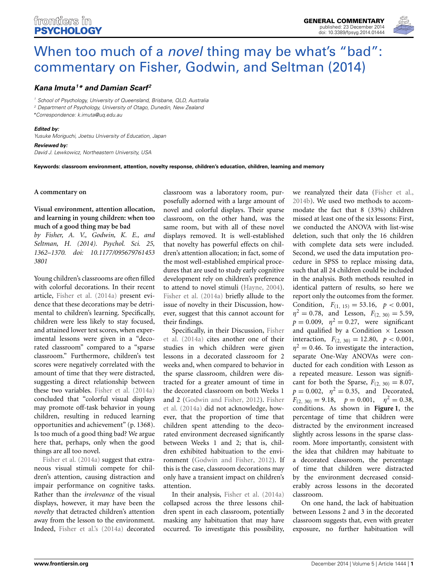

# When too much of a *novel* thing may be what's "bad": [commentary on Fisher, Godwin, and Seltman \(2014\)](http://www.frontiersin.org/journal/10.3389/fpsyg.2014.01444/full)

## *[Kana Imuta1](http://community.frontiersin.org/people/u/179698) \* and [Damian Scarf](http://community.frontiersin.org/people/u/123813) <sup>2</sup>*

*<sup>1</sup> School of Psychology, University of Queensland, Brisbane, QLD, Australia*

*<sup>2</sup> Department of Psychology, University of Otago, Dunedin, New Zealand \*Correspondence: [k.imuta@uq.edu.au](mailto:k.imuta@uq.edu.au)*

#### *Edited by:*

*Yusuke Moriguchi, Joetsu University of Education, Japan*

*Reviewed by: David J. Lewkowicz, Northeastern University, USA*

**Keywords: classroom environment, attention, novelty response, children's education, children, learning and memory**

#### **A commentary on**

## **Visual environment, attention allocation, and learning in young children: when too much of a good thing may be bad**

*by Fisher, A. V., Godwin, K. E., and Seltman, H. (2014). Psychol. Sci. 25, 1362–1370. doi: 10.1177/095679761453 3801*

Young children's classrooms are often filled with colorful decorations. In their recent article, [Fisher et al.](#page-1-0) [\(2014a](#page-1-0)) present evidence that these decorations may be detrimental to children's learning. Specifically, children were less likely to stay focused, and attained lower test scores, when experimental lessons were given in a "decorated classroom" compared to a "sparse classroom." Furthermore, children's test scores were negatively correlated with the amount of time that they were distracted, suggesting a direct relationship between these two variables. [Fisher et al.](#page-1-0) [\(2014a](#page-1-0)) concluded that "colorful visual displays may promote off-task behavior in young children, resulting in reduced learning opportunities and achievement" (p. 1368). Is too much of a good thing bad? We argue here that, perhaps, only when the good [things](#page-1-0) [are](#page-1-0) [all](#page-1-0) [to](#page-1-0)o novel.

Fisher et al. [\(2014a](#page-1-0)) suggest that extraneous visual stimuli compete for children's attention, causing distraction and impair performance on cognitive tasks. Rather than the *irrelevance* of the visual displays, however, it may have been the *novelty* that detracted children's attention away from the lesson to the environment. Indeed, [Fisher et al.'s](#page-1-0) [\(2014a\)](#page-1-0) decorated

classroom was a laboratory room, purposefully adorned with a large amount of novel and colorful displays. Their sparse classroom, on the other hand, was the same room, but with all of these novel displays removed. It is well-established that novelty has powerful effects on children's attention allocation; in fact, some of the most well-established empirical procedures that are used to study early cognitive development rely on children's preference to attend to novel stimuli [\(Hayne](#page-1-1), [2004](#page-1-1)). [Fisher et al.](#page-1-0) [\(2014a\)](#page-1-0) briefly allude to the issue of novelty in their Discussion, however, suggest that this cannot account for their findings.

S[pecifically,](#page-1-0) [in](#page-1-0) [their](#page-1-0) [Discussion,](#page-1-0) Fisher et al. [\(2014a](#page-1-0)) cites another one of their studies in which children were given lessons in a decorated classroom for 2 weeks and, when compared to behavior in the sparse classroom, children were distracted for a greater amount of time in the decorated classroom on both Weeks 1 and [2](#page-1-0) [\(Godwin and Fisher, 2012](#page-1-2)[\).](#page-1-0) Fisher et al. [\(2014a](#page-1-0)) did not acknowledge, however, that the proportion of time that children spent attending to the decorated environment decreased significantly between Weeks 1 and 2; that is, children exhibited habituation to the environment [\(Godwin and Fisher](#page-1-2), [2012\)](#page-1-2). If this is the case, classroom decorations may only have a transient impact on children's attention.

In their analysis, [Fisher et al.](#page-1-0) [\(2014a](#page-1-0)) collapsed across the three lessons children spent in each classroom, potentially masking any habituation that may have occurred. To investigate this possibility,

we reanalyzed their data [\(Fisher et al.,](#page-1-3) [2014b](#page-1-3)). We used two methods to accommodate the fact that 8 (33%) children missed at least one of the six lessons: First, we conducted the ANOVA with list-wise deletion, such that only the 16 children with complete data sets were included. Second, we used the data imputation procedure in SPSS to replace missing data, such that all 24 children could be included in the analysis. Both methods resulted in identical pattern of results, so here we report only the outcomes from the former. Condition,  $F_{(1, 15)} = 53.16, p < 0.001,$  $\eta^2 = 0.78$ , and Lesson,  $F_{(2, 30)} = 5.59$ ,  $p = 0.009$ ,  $\eta^2 = 0.27$ , were significant and qualified by a Condition  $\times$  Lesson interaction,  $F_{(2, 30)} = 12.80, p < 0.001,$  $\eta^2 = 0.46$ . To investigate the interaction, separate One-Way ANOVAs were conducted for each condition with Lesson as a repeated measure. Lesson was significant for both the Sparse,  $F_{(2, 30)} = 8.07$ ,  $p = 0.002$ ,  $\eta^2 = 0.35$ , and Decorated,  $F_{(2, 30)} = 9.18, \quad p = 0.001, \quad \eta^2 = 0.38,$ conditions. As shown in **[Figure 1](#page-1-4)**, the percentage of time that children were distracted by the environment increased slightly across lessons in the sparse classroom. More importantly, consistent with the idea that children may habituate to a decorated classroom, the percentage of time that children were distracted by the environment decreased considerably across lessons in the decorated classroom.

On one hand, the lack of habituation between Lessons 2 and 3 in the decorated classroom suggests that, even with greater exposure, no further habituation will